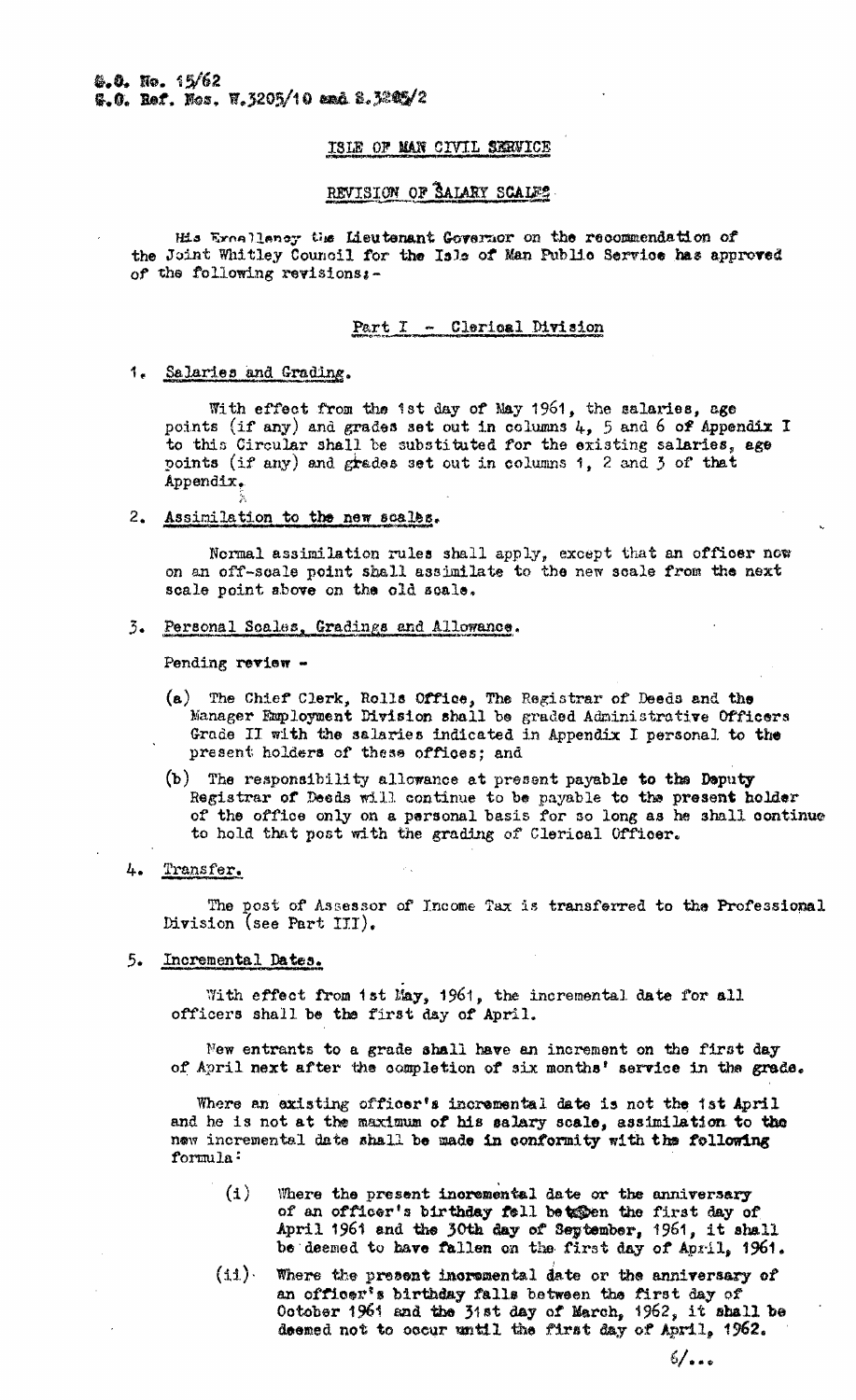# ISLE OF MAN CIVIL SERVICE

# REVISION OF SALARY SCALES

His Ernallency the Lieutenant Governor on the recommendation of the Joint Whitley Council for the Isla of Man Public Service has approved of the following revisions:-

# Part I - Clerical Division

#### 1. Salaries and Grading.

With effect from the ist day of May 1961, the salaries, age points (if any) and grades set out in columns  $l_{\tau}$ , 5 and 6 of Appendix I to this Circular shall be substituted for the existing salaries, age points (if any) and grades set out in columns 1, 2 and 3 of that Appendix.

### 2. Assimilation to the new scales.

Normal assimilation rules shall apply, except that an officer now on an off-scale point shall assimilate to the new scale from the next scale point above on the old scale.

# 3. Personal Scales, Gradings and Allowance.

Pending review -

- (a) The Chief Clerk, Rolls Office, The Registrar of Deeds and the Manager Employment Division shall be graded Administrative Officers Grade II with the salaries indicated in Appendix I personal to the present holders of these offices; and
- $(b)$  The responsibility allowance at present payable to the Deputy Registrar of Deeds will continue to be payable to the present holder of the office only on a personal basis for so long as he shall continue to hold that post with the grading of Clerical Officer.

# 4. Transfer.

The post of Assessor of Income Tax is transferred to the Professional Division (see Part III).

# 5. Incremental Dates.

With effect from ist May, 1961, the incremental date for all officers shall be the first day of April.

New entrants to a grade shall have an increment on the first day of April next after the completion of six months' service in the grade.

Where an existing officer's incremental date is not the ist April and he is not at the maximum of his salary scale, assimilation to the new incremental date shall be made in conformity with the following formula:

- $(1)$ Where the present incremental date or the anniversary of an officer's birthday fell betegen the first day of April 1961 and the 30th day of Seytember, 1961, it shall be deemed to have fallen on the first day of April, 1961.
- $(1.1)$ Where the present incremental date or the anniversary of an officer's birthday falls between the first day of October 1961 and the 31st day of March, 1962, it shall be deemed not to occur until the first day of April, 1962.

ە • مەك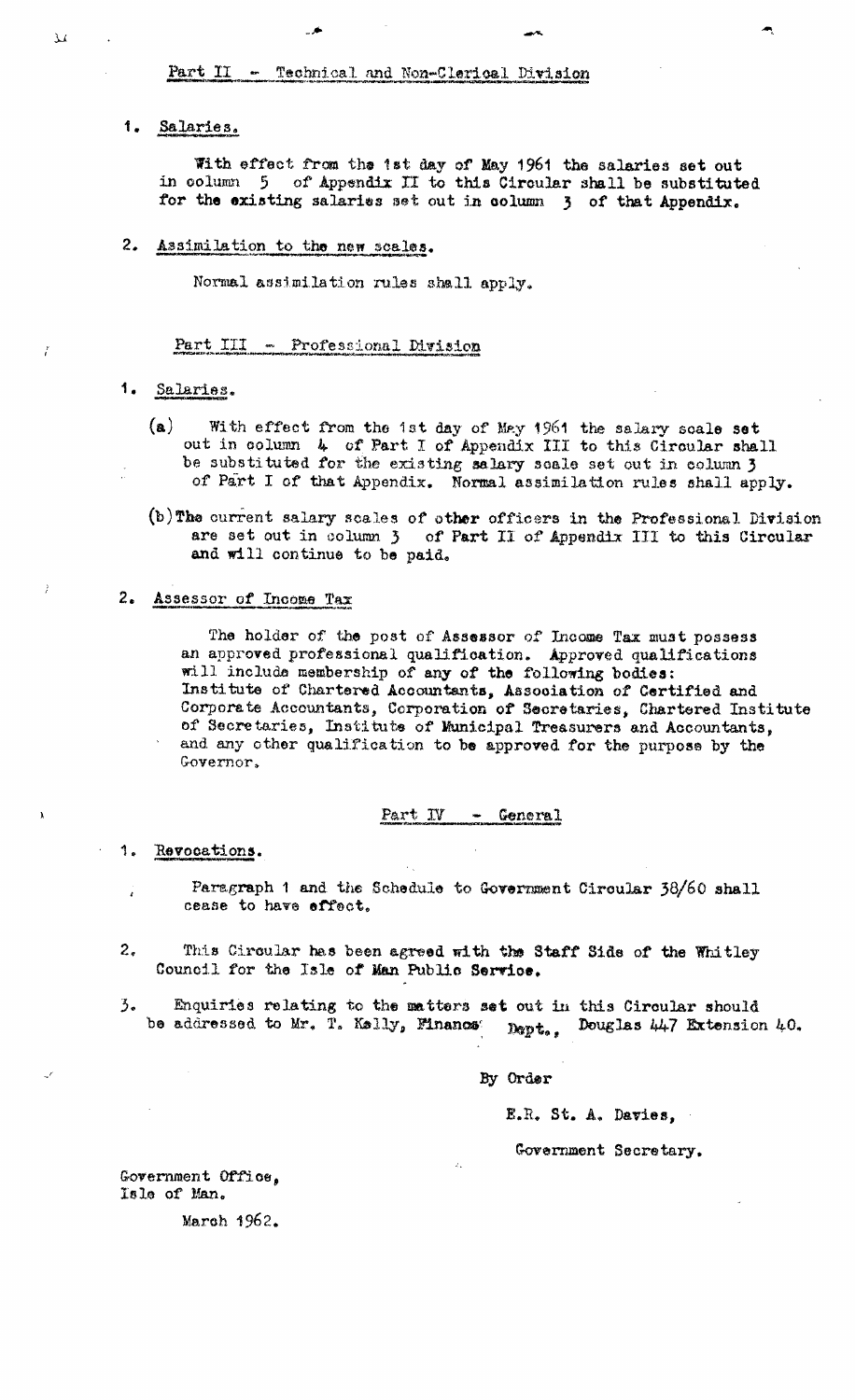# $Part II - *Technical and Non-Clerical Division*$

# 1. Salaries.

With effect from the 1st day of May 1961 the salaries set out in column 5 of Appendix II to this Circular shall be substituted for the existing salaries set out in column 3 of that Appendix.

ere Steam (Steam Controller) was a statement of the steam of the steam of the steam of the steam of the steam o<br>The steam of the steam of the steam of the steam of the steam of the steam of the steam of the steam of the st

# 2. Assimilation to the new scalea.

Normal assimilation rules shall apply.

#### Part III - Professional Division

# 1. Salaries.

- (a) With effect from the 1st day of May 1961 the salary scale set out in column **4.** of Part I of Appendix III to this Circular shall be substituted for the existing salary scale set out in column 3 of Part I of that Appendix. Normal. assimilation rules shall apply.
- (b)The current salary scales of other officers in the Professional Division are set out in column 3 of Part II of Appendix III to this Circular and will continue to be paid.

### 2. Assessor of Income Tax

The holder of the post of Assessor of Income Tax must possess an approved professional qualification. Approved qualifications will include membership of any of the following bodies: Institute of Chartered. Accountants, Association of Certified and Corporate Accountants, Corporation of Secretaries, Chartered Institute of Secretaries, Institute of Municipal Treasurers and Accountants, and any other qualification to be approved for the purpose by the Governor,

#### Part IV - General

1. Revocations.

- Paragraph 1 and the Schedule to Government Circular 38/60 shall cease to have effect.
- 2, This Circular has been agreed with the Staff Side of the Whitley Council for the Isle of **Man** Public Service.
- 3. Enquiries relating to the matters set out in this Circular should<br>be addressed to Mr. T. Kelly, Financs:  $_{\text{North}}$ . Douglas 447 Extension bept., Douglas 447 Extension 40.

By Order

E.R. St. A. Davies,

Government Secretary.

Government Office, isle of Man.

March 1962.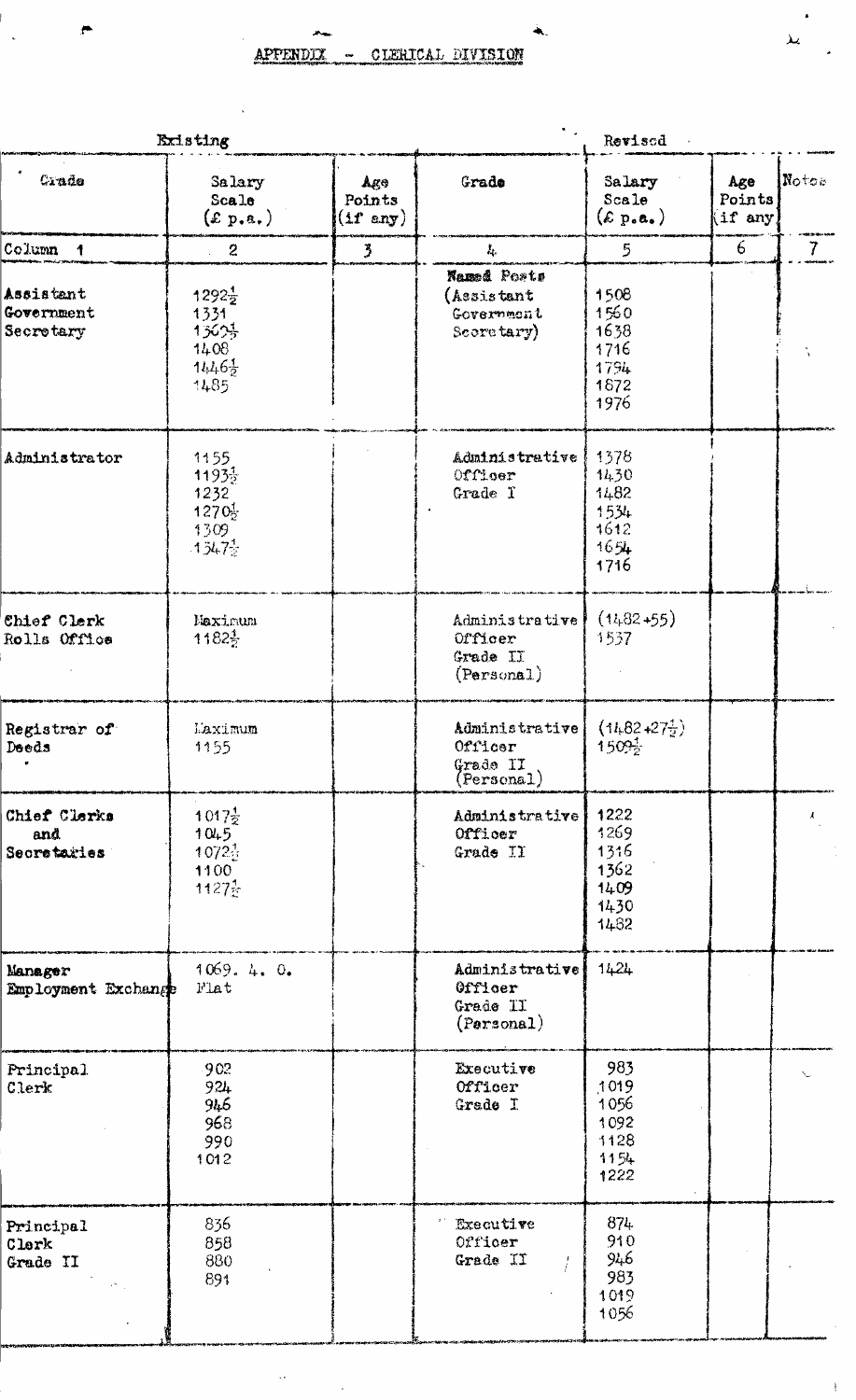$\ddot{\phantom{0}}$ 

À,

 $\ddot{\phantom{a}}$ 

| Existing                             |                                                                             |                                           |                                                       | Revised                                              |                         |                |
|--------------------------------------|-----------------------------------------------------------------------------|-------------------------------------------|-------------------------------------------------------|------------------------------------------------------|-------------------------|----------------|
| Crade                                | Salary<br>$Sca$ le<br>(x p.e.)                                              | $Ag\odot$<br>Points<br>$(1f \text{ any})$ | Grade                                                 | Salary<br>Scale<br>$(\varepsilon_{\text{p.o.}})$     | Age<br>Points<br>if any | Notos          |
| Column <sub>1</sub>                  | $\overline{2}$                                                              | 3                                         | $L_{\rm c}$                                           | 5                                                    | 6 <sup>1</sup>          | 7 <sup>7</sup> |
| Assistant<br>Government<br>Secretary | $1292\frac{1}{2}$<br>1331<br>13625<br>1408<br>$11.46\frac{1}{2}$<br>1485    |                                           | Named Posts<br>(Assistant<br>Governmont<br>Secretary) | 1508<br>1560<br>1638<br>1716<br>1794<br>1872<br>1976 |                         |                |
| Administrator                        | 1155<br>$1193\frac{1}{2}$<br>1232<br>$1270_{2}^{1}$<br>1309<br>$-13472$     |                                           | Administrative<br>Officer<br>Grade T                  | 1378<br>1430<br>1482<br>1534<br>1612<br>1654<br>1716 |                         |                |
| Chief Clerk<br>Rolls Office          | Maximum<br>1182}                                                            |                                           | Administrative<br>Officer<br>Grade II<br>(Personal)   | $(1482 + 55)$<br>1537                                |                         |                |
| Registrar of<br>Deeds                | Laximum<br>1155                                                             |                                           | Administrative<br>Officer<br>Grade II<br>(Personal)   | $(14.82 + 27\frac{1}{2})$<br>1509 <sub>2</sub>       |                         |                |
| Chief Clerks<br>and<br>Secretaries   | $1017\frac{1}{2}$<br>1045<br>$1072\frac{1}{2}$<br>1100<br>$1127\frac{1}{2}$ |                                           | Administrative<br>Officer<br>Grade II                 | 1222<br>1269<br>1316<br>1362<br>1409<br>1430<br>1482 |                         | $\mathcal{L}$  |
| Manager<br>Employment Exchange       | 1069.4.0.<br>Flat                                                           |                                           | Administrative<br>Officer<br>Grade II<br>(Porsonal)   | 1424                                                 |                         |                |
| Principal<br>Clerk                   | 902<br>924<br>946<br>968<br>990<br>1012                                     |                                           | Executive<br>Officer<br>Grade I                       | 983<br>1019<br>1056<br>1092<br>1128<br>1154<br>1222  |                         |                |
| Principal<br>Clerk<br>Grade II       | 836<br>858<br>880<br>891                                                    |                                           | <b>Executive</b><br>Officer<br>Grade II               | 874.<br>910<br>946<br>983<br>1019<br>1056            |                         |                |

 $\ddot{\phantom{0}}$ 

 $\bar{\mathcal{A}}$ 

 $\cdot$ 

 $\bar{1}$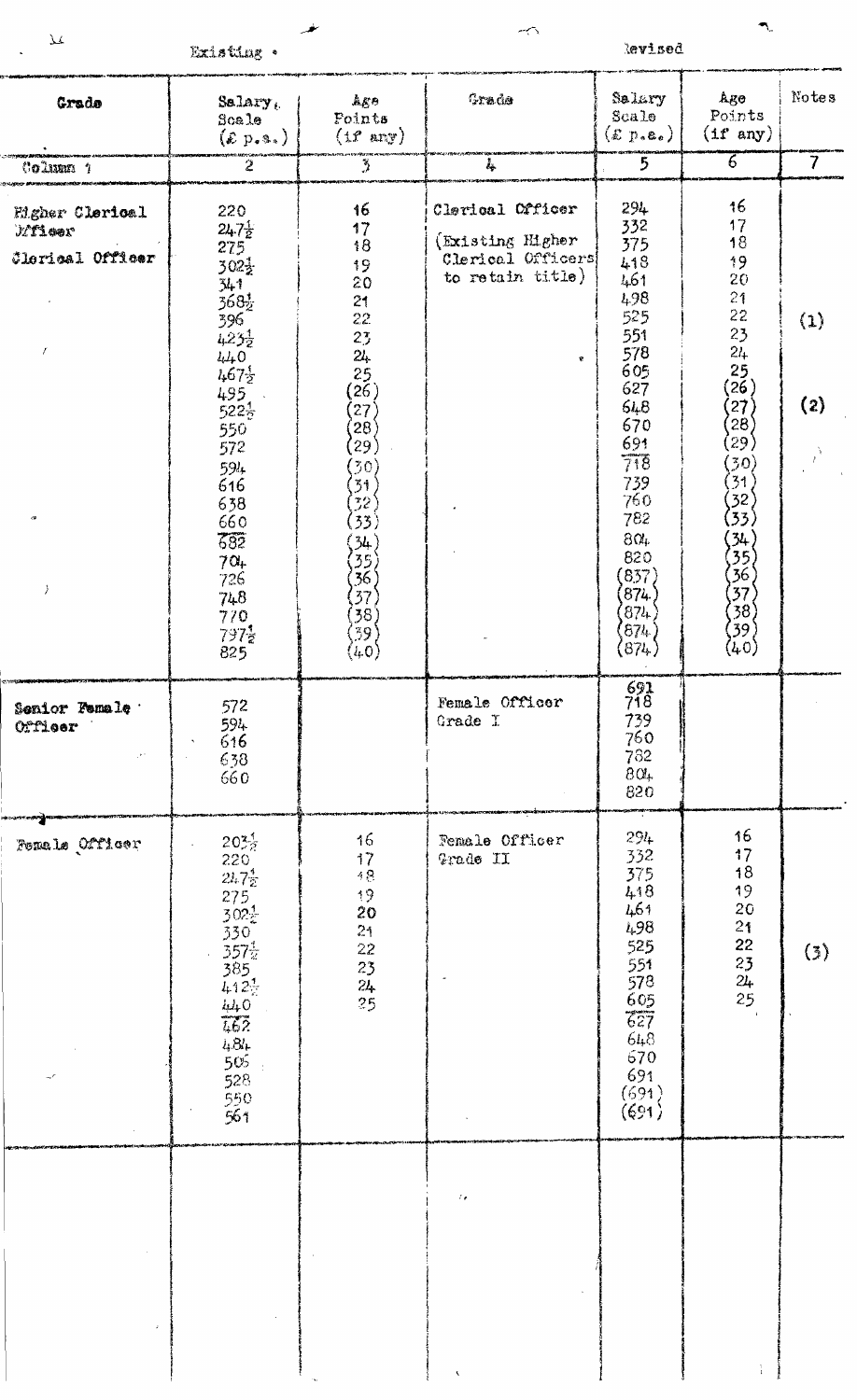Existing .

 $\lambda$ 

 $\ddot{\phantom{0}}$ 

مغر

 $\rightarrow$ 

Revised

 $\bar{\mathcal{A}}$ 

| Grade                                                             | $S$ alary,<br>Scale<br>$(\mathcal{E} p_{\bullet} \mathfrak{s}_{\bullet})$                                                                                                                | Ago<br>Points<br>$(tr \text{ any})$                                                                                                                                                                            | Grade                                                                                | Salary<br>Scale<br>$(\mathcal{E} p.e.)$                                                                                       | Ago<br>Points<br>$(1f \text{ any})$                                                                                                                    | Notes          |
|-------------------------------------------------------------------|------------------------------------------------------------------------------------------------------------------------------------------------------------------------------------------|----------------------------------------------------------------------------------------------------------------------------------------------------------------------------------------------------------------|--------------------------------------------------------------------------------------|-------------------------------------------------------------------------------------------------------------------------------|--------------------------------------------------------------------------------------------------------------------------------------------------------|----------------|
| Column 1                                                          | $\overline{2}$                                                                                                                                                                           | $\frac{N}{\epsilon}$                                                                                                                                                                                           | 4                                                                                    | 5                                                                                                                             | $\overline{6}$                                                                                                                                         | $\overline{7}$ |
| Eigher Clerical<br>Mileer<br>Clorical Officer<br>$\boldsymbol{f}$ | 220<br>$24.7\frac{1}{2}$<br>275<br>$302\frac{1}{2}$<br>341<br>368½<br>396<br>$423\frac{1}{2}$<br>$440$<br>$467\frac{1}{2}$<br>495<br>$522\frac{1}{2}$<br>550<br>572<br>594<br>616<br>638 | 16<br>17<br>68<br>19<br>20<br>21<br>22.<br>23<br>24<br>25<br>$(2\tilde{6})$<br>$\left( 27\right)$<br>$\left\langle 28\right\rangle$<br>(29)<br>$\left( 30\right)$<br>$\left[31\right)$<br>$\langle 32 \rangle$ | Clerical Officer<br>(Existing Higher)<br>Clerical Officers<br>to retain title)<br>¢. | 294<br>332<br>375<br>418<br>461<br>498<br>525<br>551<br>578<br>605<br>627<br>548<br>670<br>691<br>718<br>739<br>760           | 16<br>17<br>18<br>19<br>20<br>21<br>22<br>23<br>24 <sub>1</sub><br>25 <sub>1</sub><br>$(2\tilde{6})$<br>(27)<br>$^{'}28)$<br>$^{'}29)$<br>(30)<br>(31) | (1)<br>(2)     |
| $\epsilon$<br>$\lambda$                                           | 660<br>$\overline{632}$<br>$70+$<br>726<br>748<br>770<br>$797\frac{1}{2}$<br>825                                                                                                         | $\left( 53\right)$<br>$\begin{pmatrix} 34 \\ 35 \\ 36 \end{pmatrix}$<br>$\langle 37 \rangle$<br>$\left\langle \begin{smallmatrix} 3 & 8 \ 3 & 9 \end{smallmatrix} \right\rangle$<br>(l, 0)                     |                                                                                      | 782<br>$8\alpha_{\rm F}$<br>820<br>(837)<br>(874)<br>(874)<br>(674)<br>(874)                                                  | (32)<br>(33)<br>$\begin{array}{c} 34 \\ 35 \\ 36 \\ 37 \\ 37 \end{array}$<br>$\binom{38}{39}$<br>(40)                                                  |                |
| Senior Female 1<br>Officer                                        | 572<br>594<br>616<br>$638$<br>$660$                                                                                                                                                      |                                                                                                                                                                                                                | Female Officer<br>Grade I                                                            | $\frac{691}{718}$<br>739<br>760<br>782<br>804<br>820                                                                          |                                                                                                                                                        |                |
| Femals Officer                                                    | $20\frac{3}{2}$<br>$\frac{220}{2472}$<br>$275$<br>$302\frac{1}{2}$<br>$\frac{330}{357\frac{1}{2}}$<br>$385$<br>412 <sup>1</sup><br>$\frac{440}{462}$<br>484<br>505<br>528<br>550<br>561  | 16<br>$\frac{17}{18}$<br>$\frac{19}{20}$<br>$24\,$<br>$2\sqrt{2}$<br>23<br>$24\overline{ }$<br>25                                                                                                              | Female Officer<br>Grade II                                                           | 294<br>332<br>375<br>418<br>461<br>498<br>525<br>$-551$<br>$578$<br>$605$<br>$627$<br>$648$<br>$670$<br>691<br>(691)<br>(691) | 16<br>$\frac{17}{18}$<br>19<br>20<br>2 <sub>1</sub><br>$2222$<br>$232$<br>$25$                                                                         | (3)            |
|                                                                   |                                                                                                                                                                                          |                                                                                                                                                                                                                | $\mathcal{E}_{\mathbf{r}}$                                                           |                                                                                                                               |                                                                                                                                                        |                |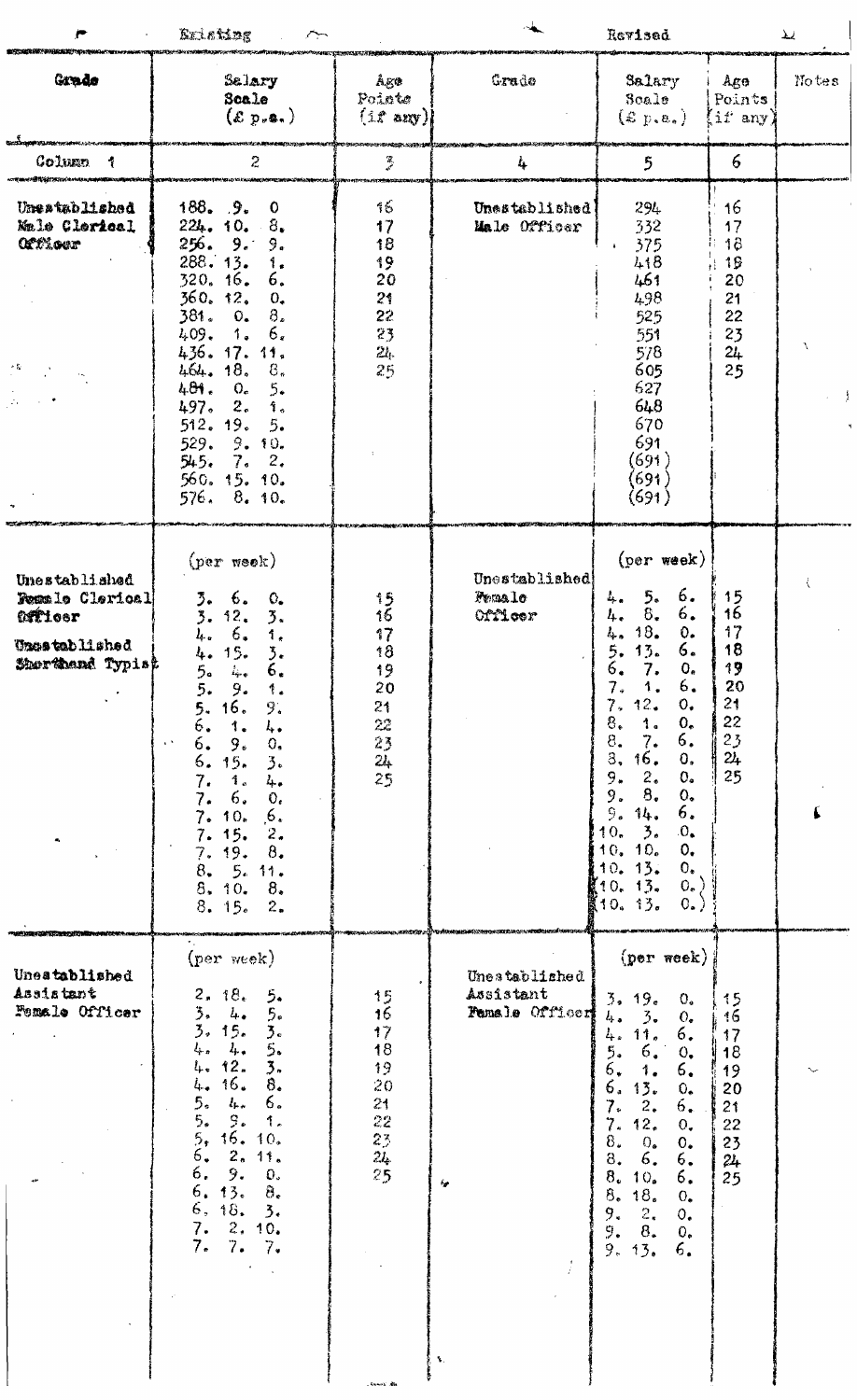|                                                                                         | <b>RuleMag</b><br>سنرسم                                                                                                                                                                                                                                                                                                                                                                                                                             |                                                                                             |                                                                                  | Revised                                                                                                                                                                                                                                                                                                                                                                                                                                          |                                                                | $\overline{\mathcal{M}}$ |
|-----------------------------------------------------------------------------------------|-----------------------------------------------------------------------------------------------------------------------------------------------------------------------------------------------------------------------------------------------------------------------------------------------------------------------------------------------------------------------------------------------------------------------------------------------------|---------------------------------------------------------------------------------------------|----------------------------------------------------------------------------------|--------------------------------------------------------------------------------------------------------------------------------------------------------------------------------------------------------------------------------------------------------------------------------------------------------------------------------------------------------------------------------------------------------------------------------------------------|----------------------------------------------------------------|--------------------------|
| Grado                                                                                   | Salary<br>Scale<br>(x p, a, )                                                                                                                                                                                                                                                                                                                                                                                                                       | Åge<br>Points<br>$(1t \text{ any})$                                                         | Grade                                                                            | Salary<br>Scale<br>$(\varepsilon_{\text{p.e.}})$                                                                                                                                                                                                                                                                                                                                                                                                 | Age<br>Points<br>$i$ i $i$ any                                 | Notes                    |
| Column<br>1<br><b>Calculated Project Section Council</b> y                              | 2                                                                                                                                                                                                                                                                                                                                                                                                                                                   | $\mathcal{R}_{\mathcal{A}}$                                                                 | 4                                                                                | 5                                                                                                                                                                                                                                                                                                                                                                                                                                                | 6                                                              |                          |
| Unestablished<br>Male Clerical<br><b>Officer</b><br>大会                                  | 188.9.<br>$\Omega$<br>224.10.<br>8.<br>256.9.<br>9.<br>288.13.<br>1.<br>320.16<br>6.<br>360. 12.<br>0,<br>$\delta$ .<br>381.<br>0.<br>6.<br>409.<br>$\mathbf{1}_{\bullet}$<br>436. 17. 11.<br>464.18.<br>$B_{\ast}$<br>481.<br>5.<br>$O_{\alpha}$<br>497.<br>2 <sub>1</sub><br>1.<br>512.19.<br>5.<br>9.10.<br>529.<br>545.<br>7.2.<br>560, 15, 10,<br>8.10.<br>576.                                                                                | $\frac{3}{2}\sum_{i=1}^{n}$<br>17<br>18<br>19<br>20<br>24<br>22<br>23<br>$2t_{\rm i}$<br>25 | Unestablished<br>Malo Officer                                                    | 294<br>332<br>375<br>418<br>461<br>498<br>525<br>551<br>578<br>605<br>627<br>648<br>670<br>691<br>(691)<br>(691)<br>(691)                                                                                                                                                                                                                                                                                                                        | 16<br>17<br>18<br>19<br>20<br>21<br>22<br>23<br>24<br>25       | Y                        |
| Unestablished<br><b>Fesale Clerical</b><br>Officer<br>Uncetablished<br>Shorthand Typist | $(per$ week)<br>6.<br>$\mathbf{O}_{\bullet}$<br>3.<br>12.<br>3.<br>3.<br>6.<br>1.<br>4.<br>15.<br>3.<br>4.<br>6.<br>- Lino<br>5.<br>9.<br>1.<br>5.<br>16.<br>5.<br>9.<br>6.<br>1.<br>4.<br>6.<br>9.<br>0,<br>15.<br>6.<br>3.<br>1 <sub>s</sub><br>7.<br>4.<br>6.<br>0.<br>7.<br>10 <sub>n</sub><br>6.<br>7.<br>15.<br>2.<br>7.<br>19.<br>7.<br>8.<br>5.<br>8.<br>11.<br>8.10.<br>8.<br>8.15.<br>2.                                                  | 15<br>16<br>37<br>18<br>19<br>20<br>21<br>$2\mathcal{Z}$<br>23<br>24<br>25                  | Unestablished<br>Pemalo<br>Officer                                               | $(\text{per week})$<br>6.<br>5.<br>4.<br>6.<br>8.<br>4.<br>18.<br>0.<br>4.<br>6.<br>13.<br>5.<br>$\mathbf{0}_*$<br>7.<br>6.<br>6.<br>7.<br>1.<br>0.<br>12.<br>7.<br>8.<br>0 <sub>r</sub><br>1.<br>8.<br>7.<br>6.<br>8,<br>16.<br>0.<br>2.<br>0 <sub>e</sub><br>9.<br>0.<br>$\mathbf{B}_{\bullet}$<br>9.<br>6.<br>9.<br>14.<br>$\mathfrak{Z}_e$<br>$\mathbf{0}_{\bullet}$<br>10.<br>10, 10,<br>0.<br>10.13.<br>0.<br>10.13.<br>0.<br>10.13.<br>0. | 15<br>16<br>17<br>18<br>19<br>20<br>21<br>22<br>23<br>24<br>25 |                          |
| Uneatablished<br>Assistant<br>Female Officer                                            | (per week)<br>2.18.<br>5.<br>$L_{\bullet}$<br>5.<br>3.<br>3.15.<br>3.<br>$l_{\rm F}$<br>5.<br>4.<br>12.<br>3.<br>$l_{\rm F}$<br>16.<br>8.<br>4.<br>$l_{\rm h\,\star}$<br>5.<br>6.<br>$\mathfrak{S}_{\bullet}$<br>5.<br>1.<br>5 <sub>1</sub><br>16.<br>10 <sub>o</sub><br>2 <sub>a</sub><br>6.<br>11.<br>9.<br>б.<br>$\mathbb{O}_*$<br>13.<br>6.<br>$\vartheta_\star$<br>18.<br>6,<br>$\mathfrak{z}_{\epsilon}$<br>2.<br>7.<br>10.<br>7.<br>7.<br>7. | 15<br>16<br>17<br>18<br>19<br>20<br>21<br>22<br>23<br>24<br>25<br><b>Concil Ste</b>         | Unestablished<br>Assistant<br>Female Officer<br>6<br>$\mathcal{N}_{\mathcal{A}}$ | (por week)<br>3.19.<br>0 <sub>o</sub><br>4.<br>$\mathfrak{Z}_{\bullet}$<br>$O_{\bullet}$<br>6.<br>4.<br>11 <sub>o</sub><br>6.<br>5.<br>$\mathbf{0}$<br>6,<br>6.<br>1.<br>13.<br>б.<br>0,<br>6.<br>2.<br>7.<br>12.<br>$\mathbf{0}$ .<br>7.<br>8.<br>$\mathrm{O}_\bullet$<br>0.<br>8.<br>6.<br>6.<br>8.<br>10 <sub>o</sub><br>б.<br>8.<br>18.<br>$0_{\bullet}$<br>9.<br>2.<br>$\mathsf{O}_*$<br>9.<br>8.<br>0.<br>9.13.<br>6.                      | 15<br>16<br>17<br>18<br>19<br>20<br>21<br>22<br>23<br>24<br>25 |                          |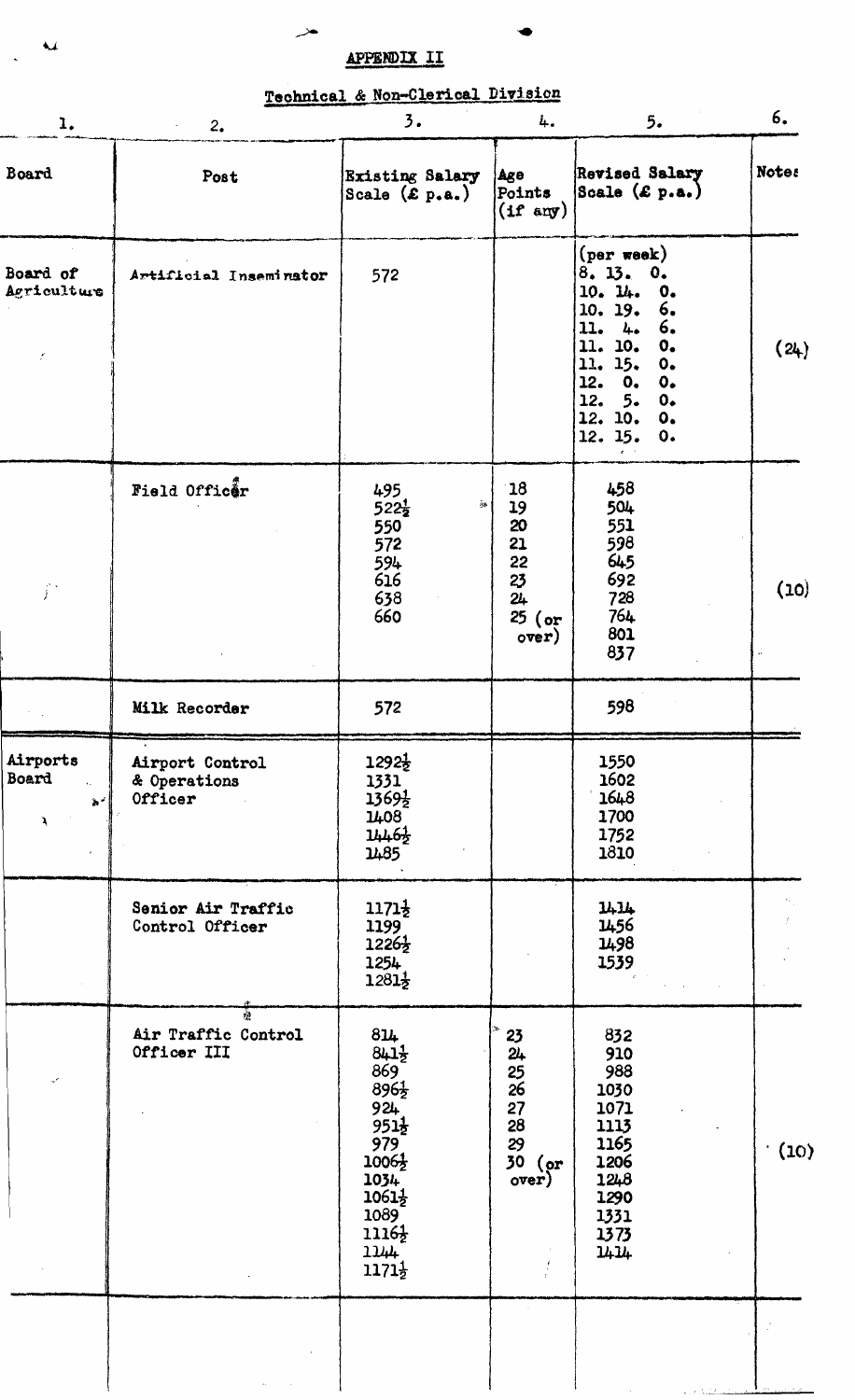# **APPENDIX 11**

# **Technical &**

| 1.                             | 2.<br>$\zeta$                              | 3.                                                                                                                                                                                               | 4.                                                                       | 5.                                                                                                                                                                                                                                                                     | 6.           |
|--------------------------------|--------------------------------------------|--------------------------------------------------------------------------------------------------------------------------------------------------------------------------------------------------|--------------------------------------------------------------------------|------------------------------------------------------------------------------------------------------------------------------------------------------------------------------------------------------------------------------------------------------------------------|--------------|
| Board                          | Post                                       | <b>Existing Salary</b><br>Scale $(\mathcal{E} p.a.)$                                                                                                                                             | <b>Age</b><br>Points<br>$(\text{if any})$                                | <b>Revised Salary</b><br>Scale $(\mathcal{L} p.a.)$                                                                                                                                                                                                                    | <b>Notes</b> |
| Board of<br>Agriculture<br>r.  | Artificial Inseminator                     | 572                                                                                                                                                                                              |                                                                          | (per week)<br>8.13.<br>$\mathbf{0}$<br>10. 14.<br>$\mathbf{0}$<br>10.19.<br>6.<br>6.<br>11.<br>4.4<br>11. 10.<br>$\mathbf{o}_{\bullet}$<br>11. 15.<br>$\mathbf{0}$<br>12. 0.<br>0.<br>12.<br>5.<br>0.<br>12. 10.<br>$\mathbf{o}_{\bullet}$<br>12.15.<br>$\mathbf{o}$ . | (24)         |
| ĵ.                             | Field Officer                              | 495<br>$\eta_{\rm sh}$<br>$522\frac{1}{2}$<br>550<br>572<br>594<br>616<br>638<br>660                                                                                                             | 18<br>19<br>20<br>21<br>22<br>23<br>24<br>$25$ (or<br>over)              | 458<br>504<br>551<br>598<br>645<br>692<br>728<br>764<br>801<br>837                                                                                                                                                                                                     | (10)         |
|                                | Milk Recorder                              | 572                                                                                                                                                                                              |                                                                          | 598                                                                                                                                                                                                                                                                    |              |
| Airports<br><b>Board</b><br>备产 | Airport Control<br>& Operations<br>Officer | $1292\frac{1}{2}$<br>1331<br>1369}<br>1408<br>$1446\frac{1}{2}$<br>1485                                                                                                                          |                                                                          | 1550<br>1602<br>1648<br>1700<br>1752<br>1810                                                                                                                                                                                                                           |              |
|                                | Senior Air Traffic<br>Control Officer      | $1171\frac{1}{2}$<br>1199<br>$1226\frac{1}{2}$<br>1254<br>$1281\frac{1}{2}$                                                                                                                      |                                                                          | 1414<br>1456<br>1498<br>1539                                                                                                                                                                                                                                           |              |
|                                | Air Traffic Control<br>Officer III         | 814<br>$841\frac{1}{2}$<br>869<br>$896\frac{1}{2}$<br>924<br>$951\frac{1}{2}$<br>979<br>$1006\frac{1}{2}$<br>1034<br>$1061\frac{1}{2}$<br>1089<br>$1116\frac{1}{2}$<br>1144<br>$1171\frac{1}{2}$ | 23<br>24<br>25 <sub>1</sub><br>26<br>27<br>28<br>29<br>$30$ (or<br>over) | 832<br>910<br>988<br>1030<br>1071<br>1113<br>1165<br>1206<br>1248<br>1290<br>1331<br>1373<br>1414                                                                                                                                                                      | (10)         |
|                                |                                            |                                                                                                                                                                                                  |                                                                          |                                                                                                                                                                                                                                                                        |              |

 $\overline{\mathbf{u}}$ 

 $\ddot{\phantom{1}}$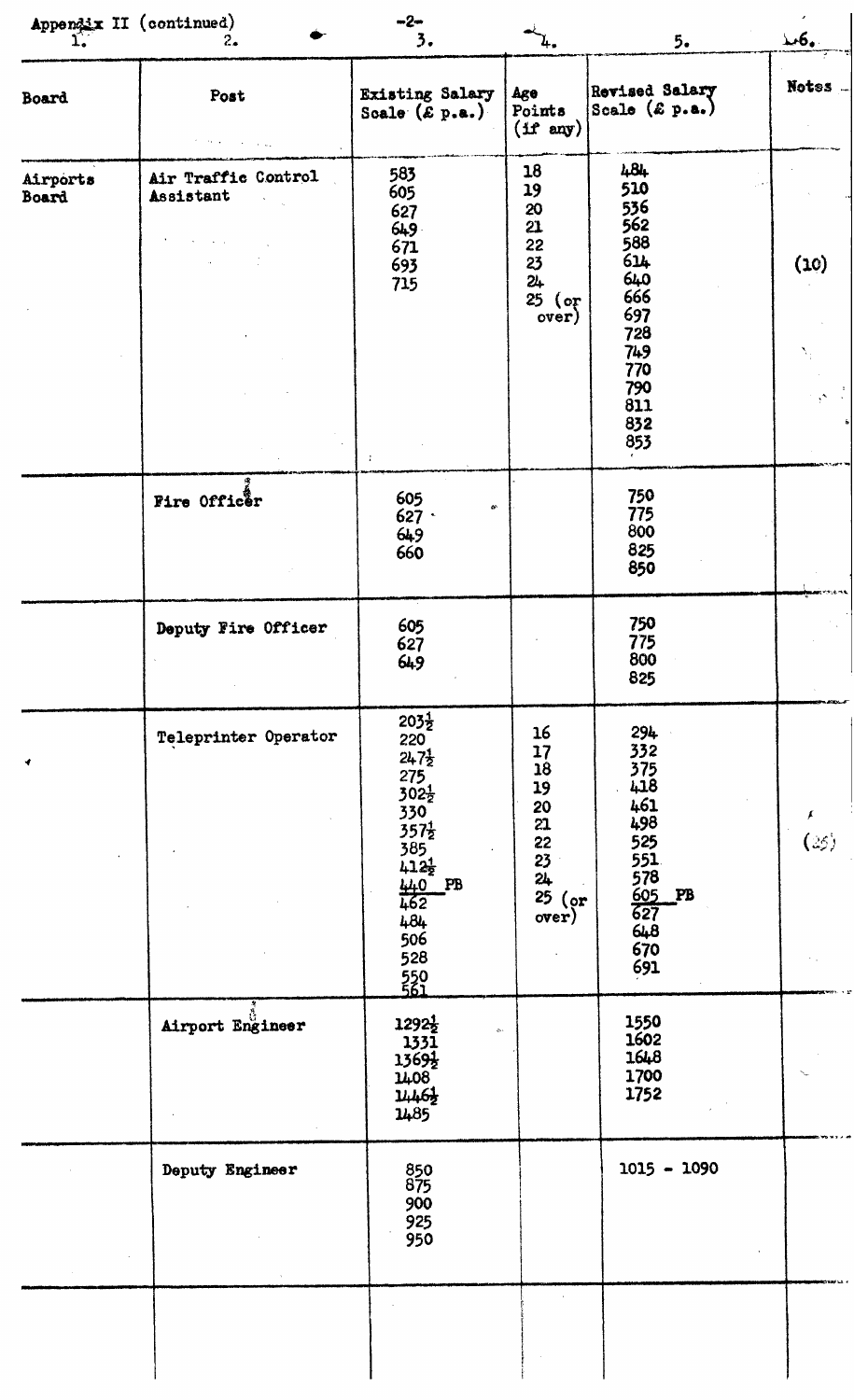|                   | Appendix II (continued) $\prod_{i=1}^{n}$<br>2.1 | $-2-$<br>3.                                                                                                                                                                                               |                                                                                          | 5.                                                                                                           | $\mathcal{L}6.$ |
|-------------------|--------------------------------------------------|-----------------------------------------------------------------------------------------------------------------------------------------------------------------------------------------------------------|------------------------------------------------------------------------------------------|--------------------------------------------------------------------------------------------------------------|-----------------|
| <b>Board</b>      | Post                                             | Existing Salary<br>Scale $(\mathcal{E} p.a.)$                                                                                                                                                             | Age<br>Points<br>$(f$ any)                                                               | Revised Salary<br>Scale $(\epsilon p.a.)$                                                                    | Notes           |
| Airports<br>Board | Air Traffic Control<br>Assistant                 | 583<br>605<br>627<br>649<br>671<br>693<br>715<br>$\ddot{\cdot}$                                                                                                                                           | 18<br>19<br>20<br>21<br>22<br>23<br>24<br>25<br>$($ or<br>over)                          | 484<br>510<br>536<br>562<br>588<br>614<br>640<br>666<br>697<br>728<br>749<br>770<br>790<br>811<br>832<br>853 | (10)<br>N,      |
|                   | Fire Officer                                     | 605<br>$\pmb{\alpha}$<br>627<br>649<br>660                                                                                                                                                                |                                                                                          | 750<br>775<br>800<br>825<br>850                                                                              |                 |
|                   | Deputy Fire Officer                              | 605<br>627<br>649                                                                                                                                                                                         |                                                                                          | 750<br>775<br>800<br>825                                                                                     |                 |
|                   | Teleprinter Operator                             | $203\frac{1}{2}$<br>220<br>$247\frac{1}{2}$<br>$275$<br>302 $\frac{1}{2}$<br>$330^{\circ}$<br>$357\frac{1}{2}$<br>$385$<br>$412\frac{1}{2}$<br>$\frac{440}{462}$<br>PB<br>484<br>506<br>528<br>550<br>561 | 16<br>17<br>$\overline{18}$<br>19<br>20<br>21<br>22<br>23<br>24<br>25<br>$($ or<br>over) | 294<br>332<br>375<br>418<br>461<br>498<br>$525$<br>525<br>578<br>605<br>627<br>627<br>648<br>670<br>691      | F<br>(25)       |
|                   | Airport Engineer                                 | $1292\frac{1}{2}$<br>$\Delta$ .<br>1331<br>1369}<br>1408<br>1462<br>1485                                                                                                                                  |                                                                                          | 1550<br>1602<br>1648<br>1700<br>1752                                                                         |                 |
|                   | Deputy Engineer                                  | 850<br>875<br>900<br>925<br>950                                                                                                                                                                           |                                                                                          | $1015 - 1090$                                                                                                |                 |
|                   |                                                  |                                                                                                                                                                                                           |                                                                                          |                                                                                                              |                 |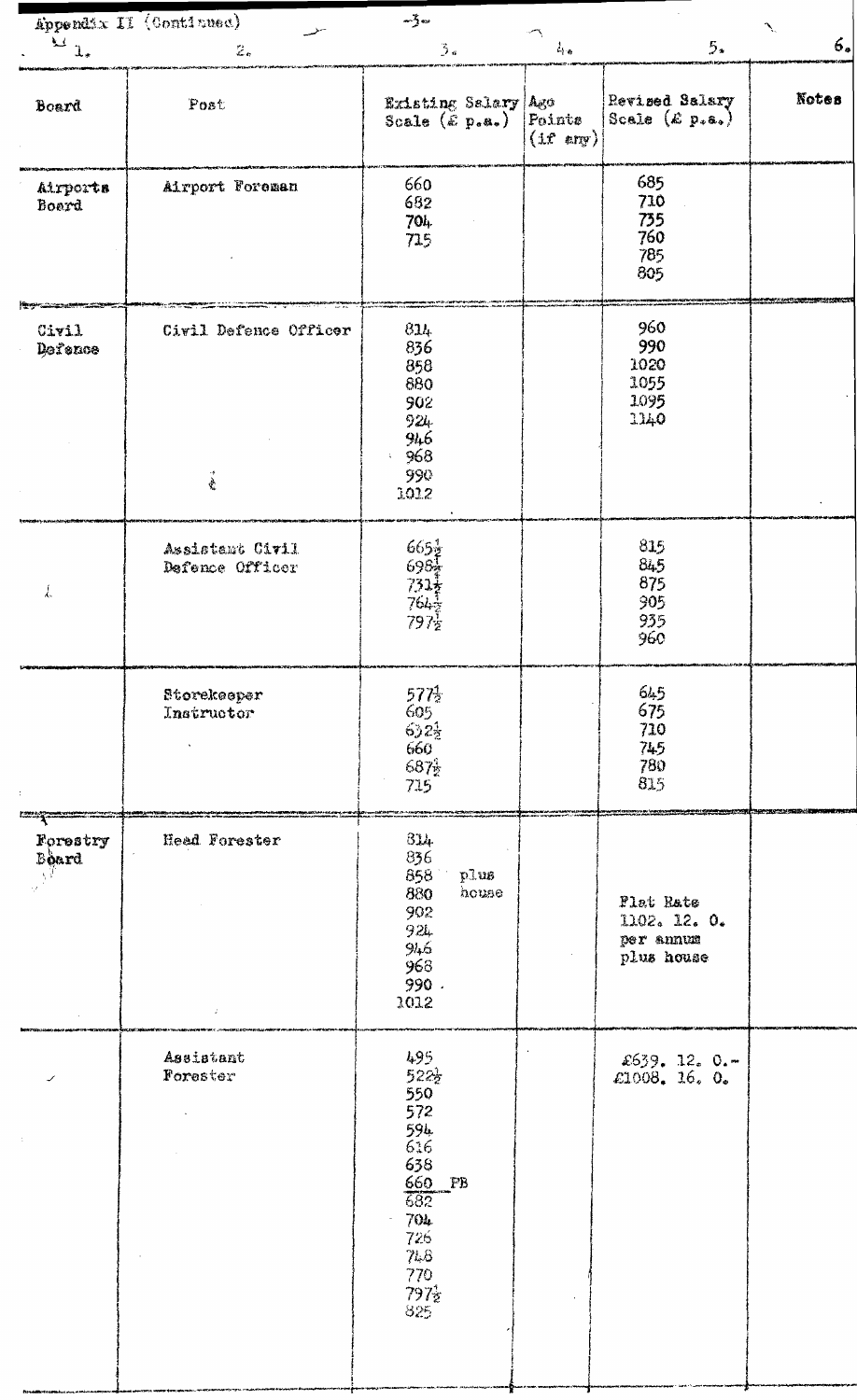|                          | Appendix II (Continued)                                | $-\frac{1}{2}$ $\infty$                                                                                                                      |                               |                                                      | $\mathcal{N}_1$ |
|--------------------------|--------------------------------------------------------|----------------------------------------------------------------------------------------------------------------------------------------------|-------------------------------|------------------------------------------------------|-----------------|
| $\mathbb{Z}_{1}$         | $\mathcal{Z}_\sigma$                                   | $\mathfrak{Z}_a$                                                                                                                             | $L_{\rm bar}$                 | 5.5                                                  | 6.              |
| Board                    | Post                                                   | Existing Salary Ago<br>Scale $(\mathbf{\hat{E}} \mathbf{p}_{\alpha} \mathbf{a}_{\alpha})$                                                    | Points<br>$(i f \text{ any})$ | Revised Salary<br>Scale $(k p, a_0)$                 | <b>Notes</b>    |
| Airports<br>Board        | Airport Foreman                                        | 660<br>682<br>704<br>715                                                                                                                     |                               | 685<br>710<br>735<br>760<br>785<br>805               |                 |
| Civil<br>Defence         | Civil Defence Officer<br>$\mathcal{E}_{\mathcal{P}}$ . | 814<br>836<br>858<br>880<br>902<br>924<br>946<br>-968<br>990<br>1012                                                                         |                               | 960<br>990<br>1020<br>1055<br>1095<br>1140           |                 |
| Į,                       | Assistant Civil<br>Defence Officer                     | $\begin{array}{l} 665\frac{1}{2}\\ 698\frac{1}{12} + \frac{1}{2}\\ 794\frac{1}{12}\\ 797\frac{1}{2} \end{array}$                             |                               | 815<br>845<br>875<br>905<br>935<br>960               |                 |
| $\ddot{\phantom{a}}$     | Storekeeper<br>Instructor                              | $577\frac{1}{2}$<br>605<br>$632\frac{1}{2}$<br>660<br>$687\frac{1}{2}$<br>715                                                                |                               | 645<br>675<br>710<br>745<br>780<br>815               |                 |
| Forestry<br><b>Board</b> | Head Forester<br>Ź.                                    | 314<br>836<br>858<br>plus<br>880<br>house<br>902<br>921<br>946<br>968<br>990.<br>1012                                                        |                               | Plat Rate<br>1102. 12. 0.<br>per annum<br>plus house |                 |
|                          | Assistant<br>Forester                                  | 495<br>$522\frac{1}{2}$<br>550<br>572<br>594<br>616<br>638<br>660 PB<br>$\overline{682}$<br>704<br>726<br>748<br>770<br>$797_{2}^{4}$<br>825 |                               | \$639.12.0.<br>£1008. 16. $0.6$                      |                 |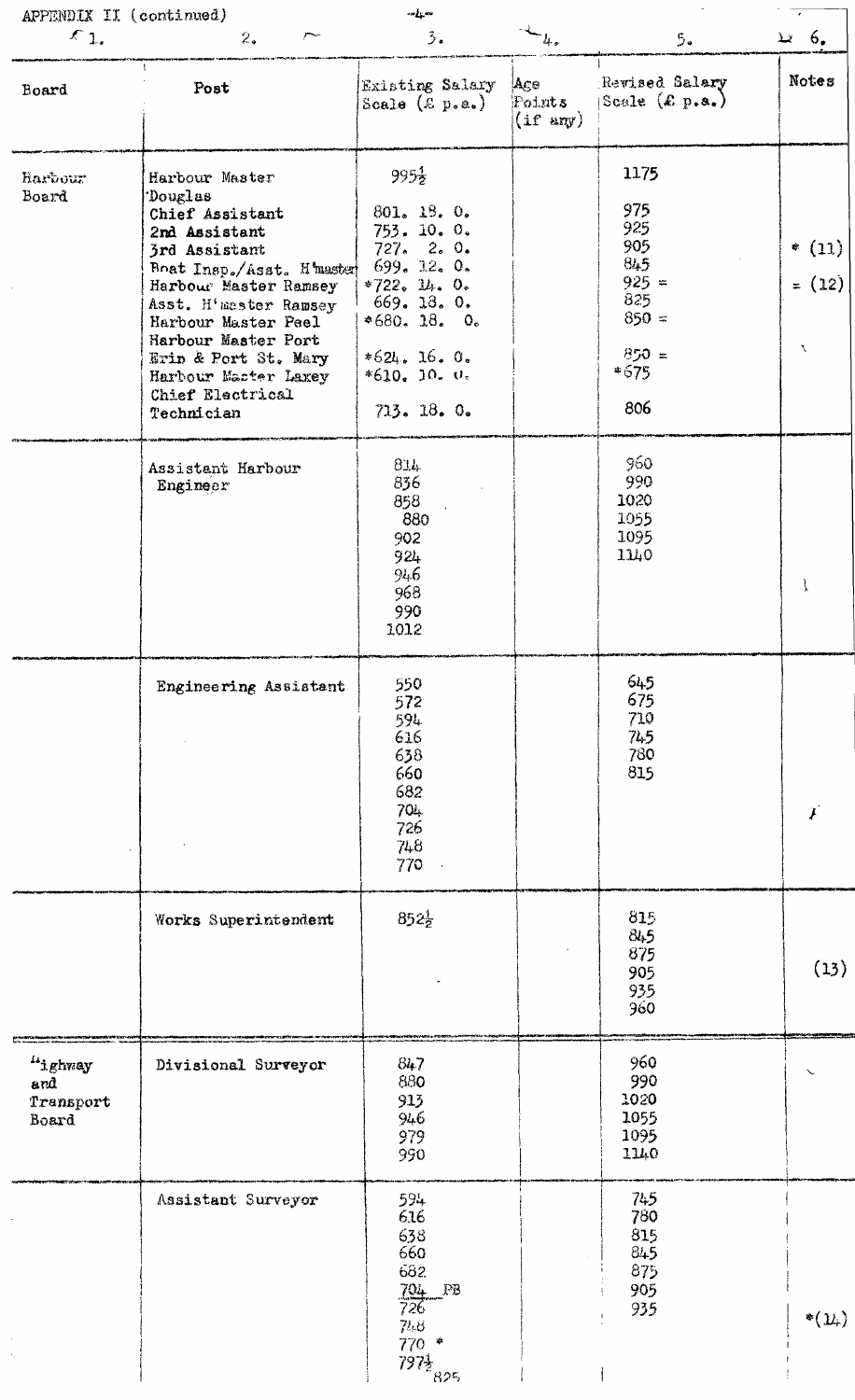| APPENDIX II (continued)              |                                                                                                                                                                                                                                                                                               | $\omega_{\rm eff}$ or                                                                                                                                                    |                                      |                                                                                           |                           |
|--------------------------------------|-----------------------------------------------------------------------------------------------------------------------------------------------------------------------------------------------------------------------------------------------------------------------------------------------|--------------------------------------------------------------------------------------------------------------------------------------------------------------------------|--------------------------------------|-------------------------------------------------------------------------------------------|---------------------------|
| $\xi_{1}$                            | 2.<br>$\overline{\phantom{a}}$                                                                                                                                                                                                                                                                | 3.                                                                                                                                                                       | $L_{\rm{c}}$                         | 5.                                                                                        | .6 يد                     |
| Board                                | $\mathbf{R}$<br>Post                                                                                                                                                                                                                                                                          | Existing Salary<br>Scale $(\&$ p.a.)                                                                                                                                     | Age<br>Points<br>$(i f \text{ any})$ | Revised Salary<br>Scale $(\mathcal{L} p.\mathbf{s}_*)$                                    | Notes                     |
| Harbour.<br>Board                    | Harbour Master<br>Douglas<br>Chief Assistant<br>2nd Assistant<br>3rd Assistant<br>Boat Insp./Asst. H master<br>Harbour Master Ramsey<br>Asst. H'master Ramsey<br>Harbour Master Peel<br>Harbour Master Port<br>Erin & Port St. Mary<br>Harbour Master Laxey<br>Chief Electrical<br>Technician | $995\frac{1}{2}$<br>801. 18. 0.<br>753. 10. 0.<br>727.20.0.<br>699.12.0.<br>$*722. 14. 0.$<br>669. 18. 0.<br>$*680.18.0.$<br>$*624.16.0.$<br>$*610. 10. 0.$<br>713.18.0. |                                      | 1175<br>975<br>925<br>905<br>845<br>$925 =$<br>825<br>$850 =$<br>$850 =$<br>$*675$<br>806 | $*(11)$<br>$= (12)$<br>V. |
|                                      | Assistant Harbour<br>Engineer                                                                                                                                                                                                                                                                 | 814<br>836<br>858<br>880<br>902<br>924<br>946<br>968<br>990<br>1012                                                                                                      |                                      | 960<br>990<br>1020<br>1055<br>1095<br>1140                                                | $\mathcal{I}$             |
|                                      | Engineering Assistant                                                                                                                                                                                                                                                                         | 550<br>572<br>594<br>616<br>638<br>660<br>682<br>704<br>726<br>748<br>770                                                                                                |                                      | 645<br>675<br>710<br>745<br>780<br>815                                                    |                           |
|                                      | Works Superintendent                                                                                                                                                                                                                                                                          | $852\frac{1}{2}$                                                                                                                                                         |                                      | 815<br>84.5<br>875<br>905<br>935<br>960                                                   | (13)                      |
| "ighway<br>and<br>Transport<br>Board | Divisional Surveyor                                                                                                                                                                                                                                                                           | 847<br>880<br>913<br>946<br>979<br>990                                                                                                                                   |                                      | 960<br>990<br>1020<br>1055<br>1095<br>1140                                                |                           |
|                                      | Assistant Surveyor                                                                                                                                                                                                                                                                            | 594<br>616<br>638<br>660<br>682<br>704 PB<br>726.<br>74.8<br>$\frac{770}{7972}$<br>$\frac{1}{825}$                                                                       |                                      | 745<br>780<br>815<br>845<br>875<br>905<br>935                                             | $*(\mathcal{Y}_*)$        |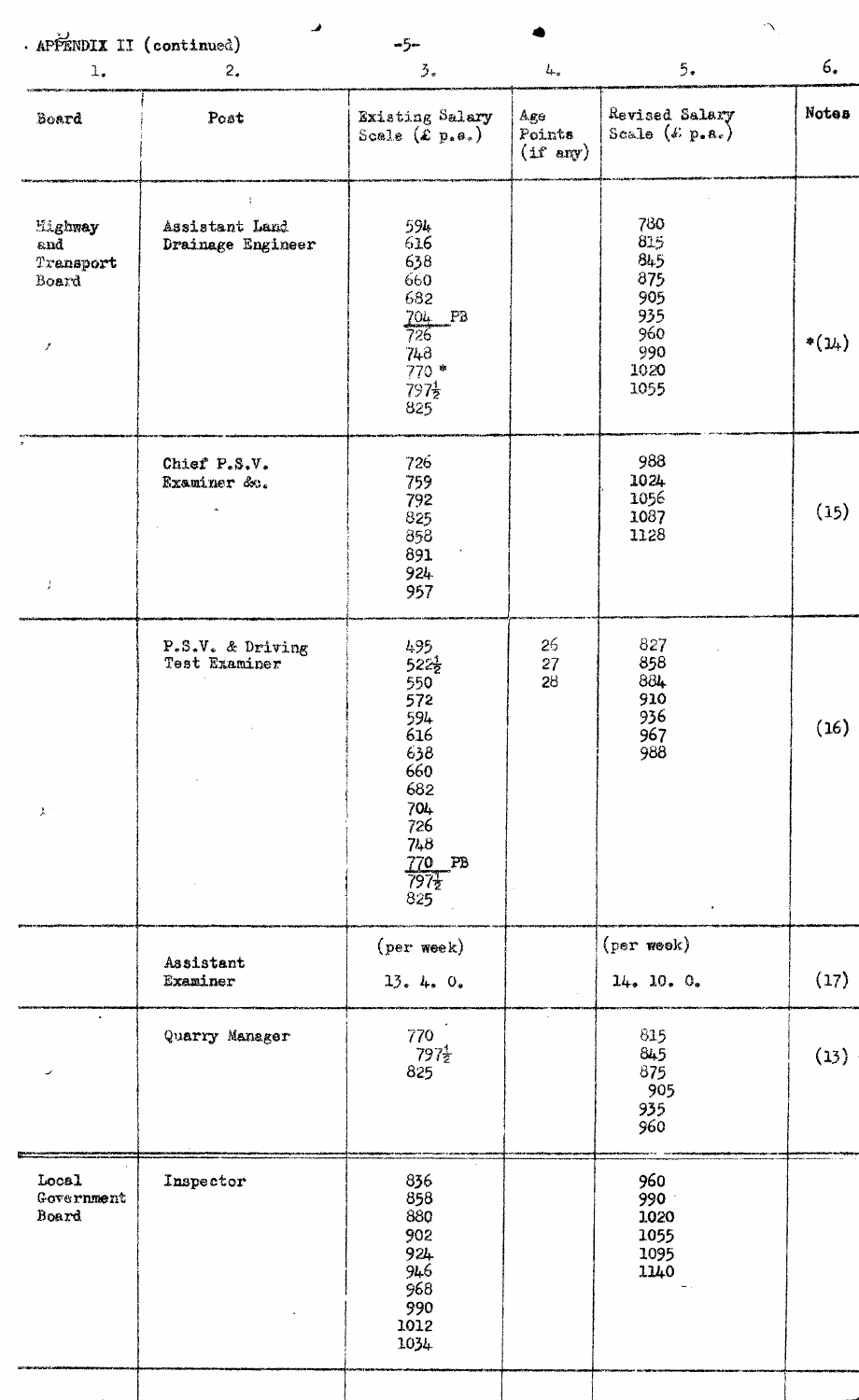| · APPENDIX II (continued)                                        |                                     | $-5-$                                                                                                                                     |                                     |                                                                      | $\gamma$   |
|------------------------------------------------------------------|-------------------------------------|-------------------------------------------------------------------------------------------------------------------------------------------|-------------------------------------|----------------------------------------------------------------------|------------|
| 1.                                                               | 2.                                  | $\frac{2}{3}$ .                                                                                                                           | $L_{\rm w}$                         | 5.                                                                   | 6.         |
| Board                                                            | Post                                | Existing Salary<br>Scale $(\mathcal{L} p_{\ast} a_{\ast})$                                                                                | Age<br>Points<br>$(1f \text{ any})$ | Revised Salary<br>Scale $(i. p.e.)$                                  | Notes      |
| Highway<br>$\mathbf{and}$<br>Transport<br>Board<br>$\mathcal{I}$ | Assistant Land<br>Drainage Engineer | 594<br>616<br>638<br>660<br>682<br>$704$ PB<br>726<br>748<br>$770*$<br>$797\frac{1}{2}$<br>825                                            |                                     | 780<br>815<br>845<br>875<br>905<br>935<br>960<br>990<br>1020<br>1055 | $*(\nu_+)$ |
| J                                                                | Chief P.S.V.<br>Examiner &          | 726<br>759<br>792<br>825<br>858<br>891<br>924<br>957                                                                                      |                                     | 988<br>1024<br>1056<br>1087<br>1128                                  | (15)       |
| $\lambda^+$                                                      | P.S.V. & Driving<br>Test Examiner   | 495<br>$522\frac{1}{2}$<br>550<br>572<br>$\frac{594}{616}$<br>638<br>660<br>682<br>704<br>726<br>748<br>770 PB<br>797 <sub>2</sub><br>825 | 26<br>27<br>28                      | 827<br>858<br>884<br>910<br>936<br>967<br>988<br>$\bullet$           | (16)       |
|                                                                  | Assistant<br>Examiner               | (per week)<br>13.4.0.                                                                                                                     |                                     | $(per$ week)<br>14.10.0.                                             | (17)       |
|                                                                  | Quarry Manager                      | 770<br>$\frac{797}{2825}$                                                                                                                 |                                     | 815<br>845<br>875<br>905<br>935<br>960                               | (13)       |
| Local<br>Government<br>Board                                     | Inspector                           | 836<br>858<br><b>880</b><br>902<br>924<br>946<br>968<br>990<br>1012<br>1034                                                               |                                     | 960<br>990<br>1020<br>1055<br>1095<br>1140                           |            |
|                                                                  |                                     |                                                                                                                                           |                                     |                                                                      |            |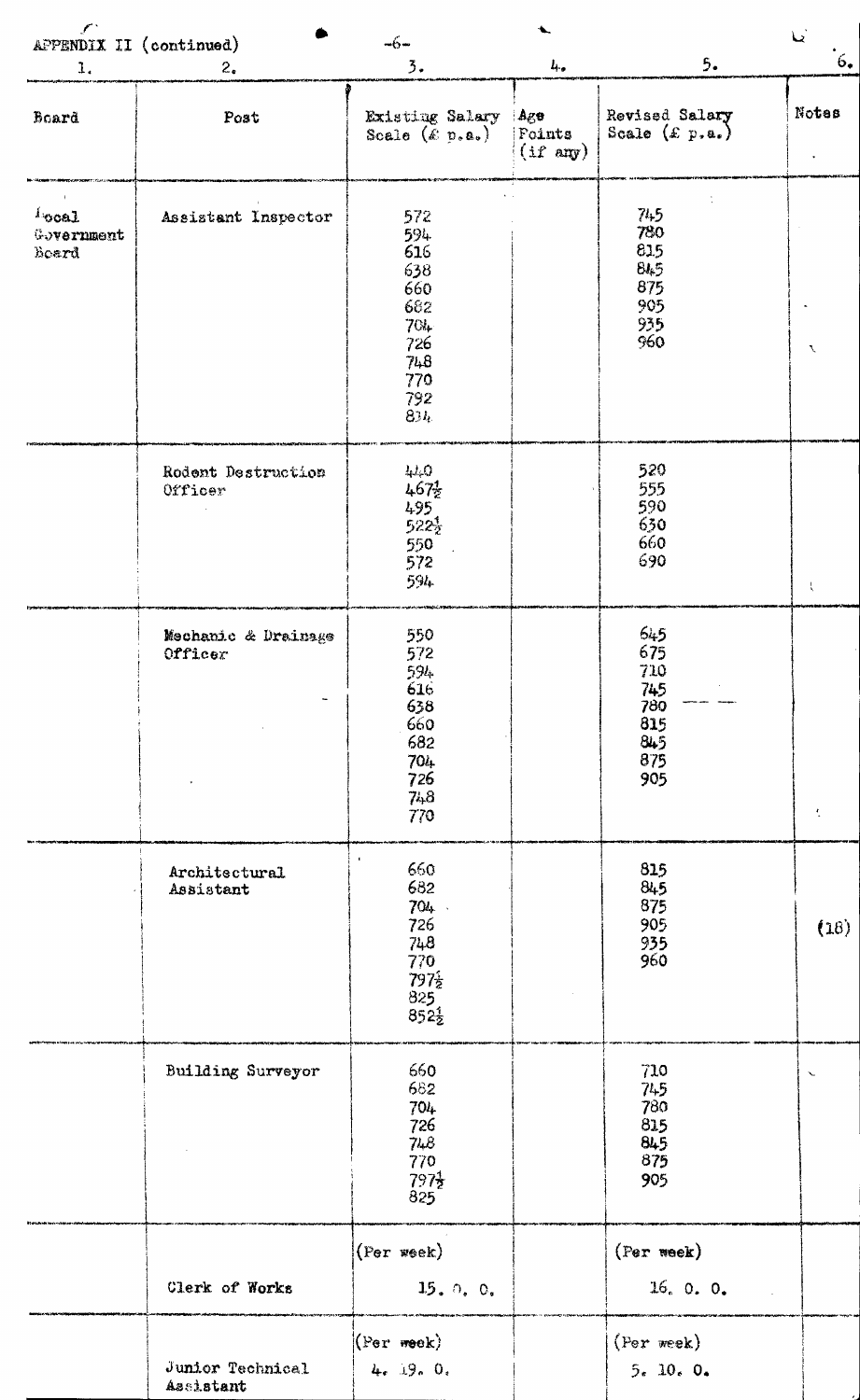| $\mathcal{L}$                                | APPENDIX II (continued)        | $-6-$                                                                             |                                               |                                                                    | $\mathbf{L}$  |
|----------------------------------------------|--------------------------------|-----------------------------------------------------------------------------------|-----------------------------------------------|--------------------------------------------------------------------|---------------|
| 1.                                           | $2_{\bullet}$                  | $\overline{3}$ .                                                                  | $L_{\rm{tot}}$                                | 5.                                                                 | 6.            |
| Board                                        | Post                           | Existing Salary<br>Scale $(\& p.a.)$                                              | : Age<br><b>Foints</b><br>$(i f \text{ any})$ | Revised Salary<br>Scale $(\pounds p. a.)$                          | Notes         |
| $\iota_{\text{ocal}}$<br>Government<br>Board | Assistant Inspector            | 572<br>594<br>616<br>638<br>660<br>682<br>704<br>726<br>748<br>770<br>792<br>834. |                                               | 74.5<br>780<br>815<br>845<br>875<br>905<br>935<br>960              | $\mathcal{F}$ |
|                                              | Rodent Destruction<br>Officer  | 4.1,0<br>$467\frac{1}{2}$<br>495<br>$522\frac{1}{2}$<br>550<br>572<br>594         |                                               | 520<br>555<br>590<br>630<br>660<br>690                             | X             |
|                                              | Mechanic & Drainage<br>Officer | 550<br>572<br>594<br>616<br>638<br>660<br>682<br>704<br>726<br>748<br>770         |                                               | <b>645</b><br>675<br>710<br>745<br>780<br>815<br>845<br>875<br>905 | 大             |
|                                              | Architectural<br>Assistant     | 660<br>682<br>704<br>726<br>748<br>770<br>797 <sup>2</sup><br>825<br>8522         |                                               | 815<br>845<br>875<br>905<br>935<br>960                             | (18)          |
|                                              | <b>Building Surveyor</b>       | 660<br>682<br>$704 -$<br>726<br>748<br>770<br>$797\frac{1}{2}$<br>825             |                                               | 710<br>745<br>780<br>815<br>845<br>875<br>905                      | $\checkmark$  |
|                                              | Clerk of Works                 | (Per week)<br>15.0.0.                                                             |                                               | (Per week)<br>16.0.0.                                              |               |
|                                              | Junior Technical<br>Assistant  | $(Per$ week)<br>4.19.0.                                                           |                                               | (Per week)<br>5.10.0.                                              |               |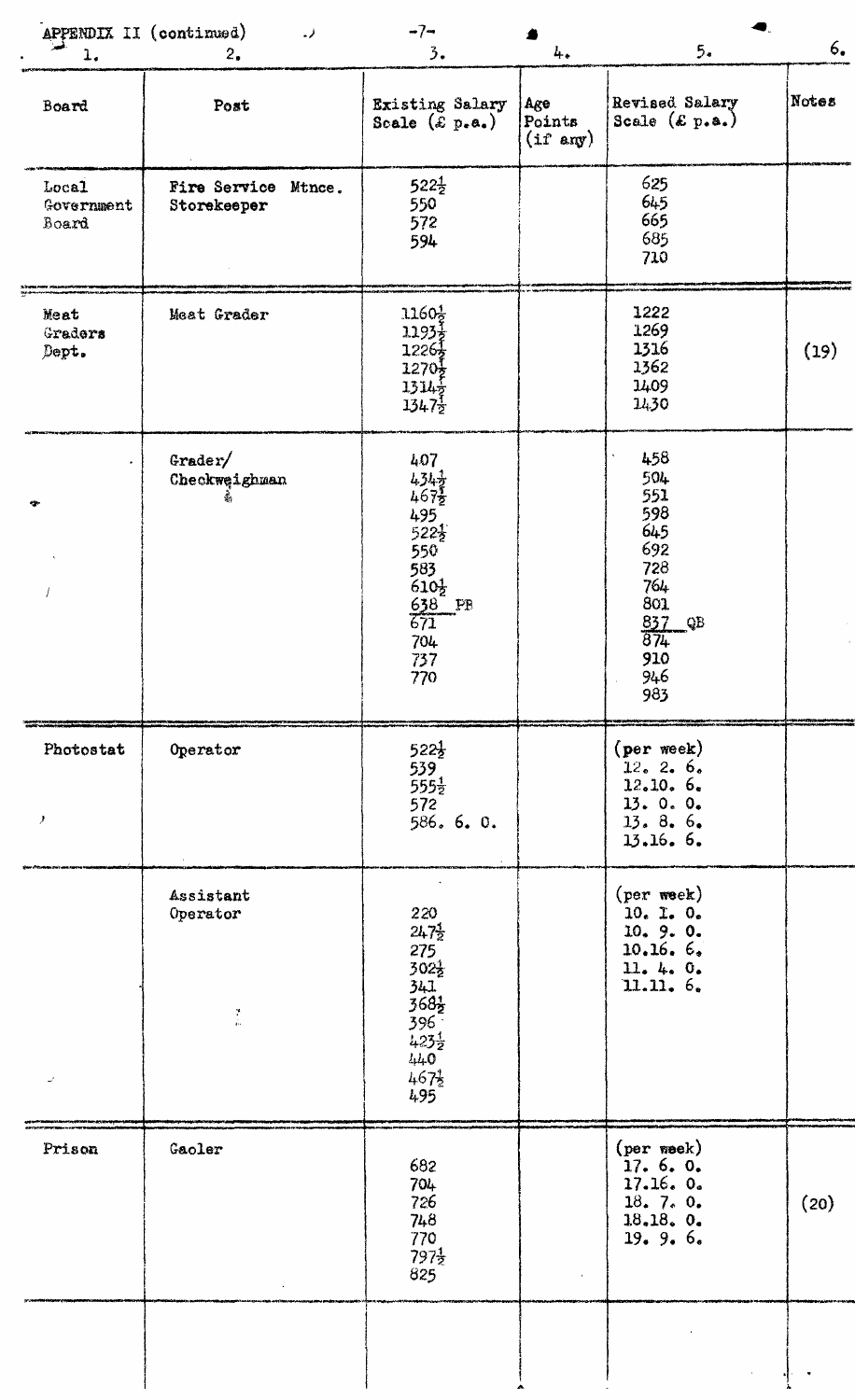|                              | APPENDIX II (continued)<br>لمند        | $-7-$                                                                                                                                              |                                      | 5.                                                                                                | 6.    |
|------------------------------|----------------------------------------|----------------------------------------------------------------------------------------------------------------------------------------------------|--------------------------------------|---------------------------------------------------------------------------------------------------|-------|
| $1.$<br>Board                | 2.<br>Post                             | 3.<br>Existing Salary<br>Scale $(\varepsilon p.e.)$                                                                                                | 4.<br>Age<br>Points<br>$(if \; any)$ | Revised Salary<br>Scale $(\mathcal{E}, p, a_*)$                                                   | Notes |
| Local<br>Government<br>Board | Fire Service Mtnce.<br>Storekeeper     | $522\frac{1}{2}$<br>550<br>572<br>594                                                                                                              |                                      | 625<br>645<br>665<br>685<br>710                                                                   |       |
| Meat<br>Graders<br>Dept.     | Meat Grader                            | $1160\frac{1}{2}$<br>$1193\frac{1}{2}$<br>$1226\frac{1}{2}$<br>$1270\frac{1}{2}$<br>1314 <sub>2</sub><br>$1347\frac{1}{2}$                         |                                      | 1222<br>1269<br>1316<br>1362<br>1409<br>1430                                                      | (19)  |
|                              | Grder/<br>Checkweighman                | 407<br>$434\frac{1}{2}$<br>4672<br>$495$<br>522 $\frac{1}{2}$<br>550<br>583<br>$610\frac{1}{2}$<br>$rac{638}{671}$ PB<br>704<br>737<br>770         |                                      | 458<br>504<br>551<br>598<br>645<br>692<br>728<br>764<br>801<br>837 QB<br>874<br>910<br>946<br>983 |       |
| Photostat<br>y               | Operator                               | $522\frac{1}{2}$<br>539<br>$555\frac{1}{2}$<br>572<br>586. 6. 0.                                                                                   |                                      | $(\text{per week})$<br>12.2.6.<br>12.10.6.<br>13.0.0.<br>13.8.6.<br>13.16.6.                      |       |
| $\omega^{\prime}$            | Assistant<br>Operator<br>$\frac{1}{2}$ | 220<br>$247\frac{1}{2}$<br>275<br>$302\frac{1}{2}$<br>341<br>$368\frac{1}{2}$<br>$396^{-}$<br>$423\frac{1}{2}$<br>$440$<br>$467\frac{1}{2}$<br>495 |                                      | $(per \, week)$<br>$10.$ $1.$ $0.$<br>10.9.0.<br>10.16.6.<br>11.4.0.<br>11.11. 6.                 |       |
| Prison                       | Gaoler                                 | 682<br>704<br>726<br>748<br>770<br>$797\frac{1}{2}$<br>825                                                                                         |                                      | (per week)<br>17.6.0.<br>17.16.0.<br>18.7.0.<br>18.18.0.<br>19.9.6.                               | (20)  |
|                              |                                        |                                                                                                                                                    |                                      |                                                                                                   |       |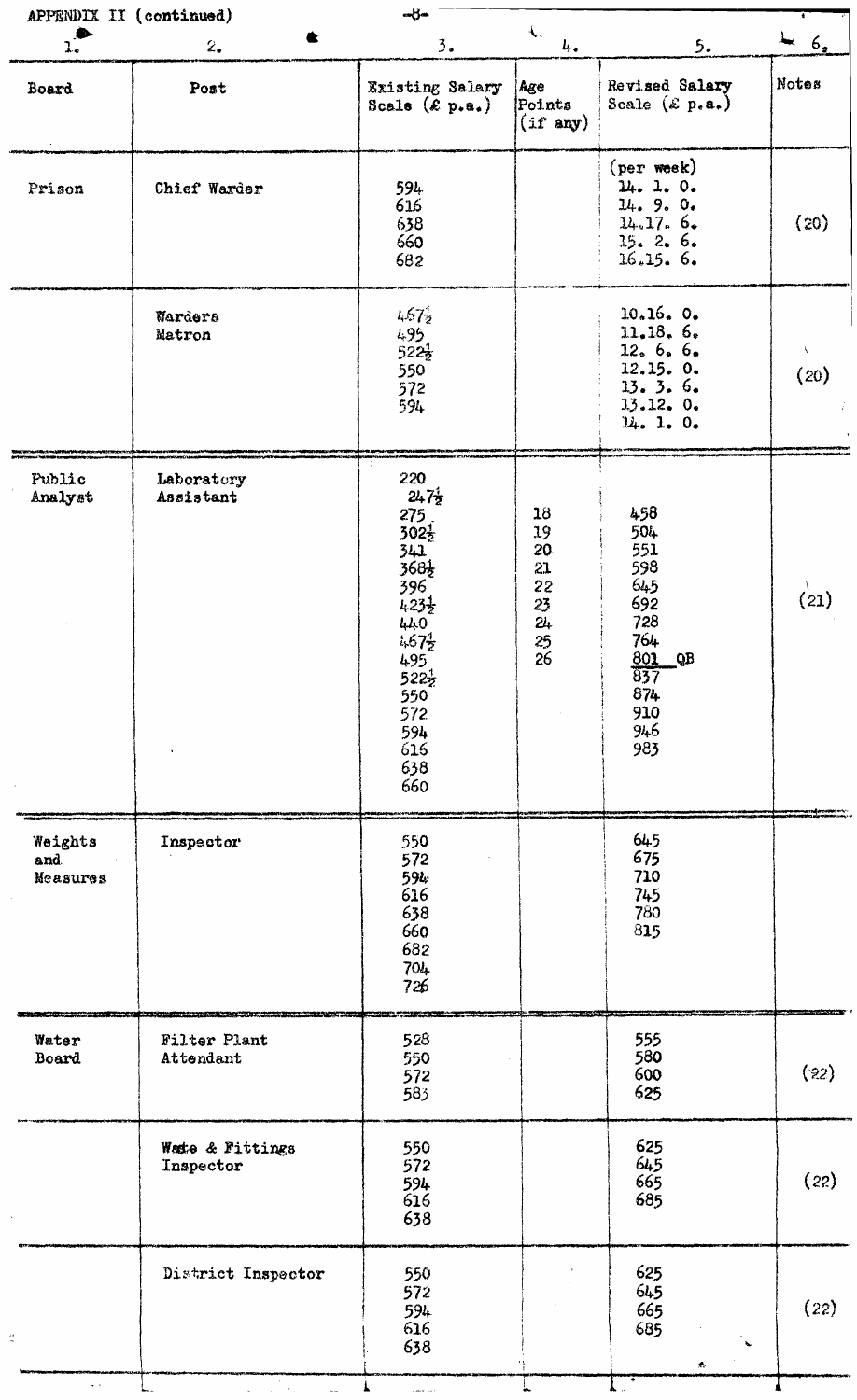| APPENDIX II (continued)     |                              | <b>COM</b>                                                                                                                                                                                           |                                                     |                                                                                                                   |                   |
|-----------------------------|------------------------------|------------------------------------------------------------------------------------------------------------------------------------------------------------------------------------------------------|-----------------------------------------------------|-------------------------------------------------------------------------------------------------------------------|-------------------|
| $\mathbf{r}$                | 2.                           | $\frac{3}{2}$ .                                                                                                                                                                                      | $\left\langle \cdot \right\rangle$<br>$L_{\bullet}$ | 5.                                                                                                                | 6 <sub>2</sub>    |
| Board                       | Post                         | Existing Salary<br>Scale $(\mathcal{E}_{\text{p.a.}})$                                                                                                                                               | Age<br>Points<br>$(i f \text{ any})$                | Revised Salary<br>Scale $(\&$ p.a.)                                                                               | Notes             |
| Prison                      | Chief Warder                 | 594<br>616<br>638<br>660<br>682                                                                                                                                                                      |                                                     | $(\text{per week})$<br>14.1.0.<br>14.9.0.<br>14.17.6.<br>15.2.6.<br>16.15.6.                                      | (20)              |
|                             | Warders<br>Matron            | 4.67 <sub>2</sub><br>495<br>$522\frac{1}{2}$<br>550<br>572<br>594                                                                                                                                    |                                                     | 10.16.0.<br>11.18.6.<br>12.6666<br>12.15.0.<br>13.3.6.<br>13.12.0.<br>14.1.0.                                     | $\lambda$<br>(20) |
| Public<br>Analyst           | Laboratory<br>Assistant      | 220<br>$247\frac{1}{2}$<br>275<br>$302\frac{1}{2}$<br>$\frac{341}{368}$<br>396<br>$423\frac{1}{2}$<br>$440$<br>$467\frac{1}{2}$<br>495<br>$522\frac{1}{2}$<br>550<br>572<br>594<br>616<br>638<br>660 | 18<br>19<br>20<br>21<br>22<br>23<br>24<br>25<br>26  | 458<br>504<br>551<br>598<br>645<br>692<br>728<br>764<br>801<br>QB<br>$\overline{837}$<br>874<br>910<br>946<br>983 | $\binom{1}{21}$   |
| Weights<br>and.<br>Measures | Inspector                    | 550<br>572<br>594<br>616<br>638<br>660<br>682<br>704<br>726                                                                                                                                          |                                                     | 645<br>675<br>710<br>745<br>780<br>815                                                                            |                   |
| Water<br>Board              | Filter Plant<br>Attendant    | 528<br>550<br>572<br>583                                                                                                                                                                             |                                                     | 555<br>580<br>600<br>625                                                                                          | (22)              |
|                             | Wate & Fittings<br>Inspector | 550<br>572<br>594<br>616<br>638                                                                                                                                                                      |                                                     | 625<br>645<br>665<br>685                                                                                          | (22)              |
|                             | District Inspector           | 550<br>572<br>594<br>616<br>638                                                                                                                                                                      |                                                     | 625<br>645<br>665<br>685<br>$\tilde{\phantom{a}}$<br>$\mathcal{R}_\mathrm{c}$                                     | (22)              |
| $\omega_{\rm{eff}}$         |                              |                                                                                                                                                                                                      |                                                     |                                                                                                                   |                   |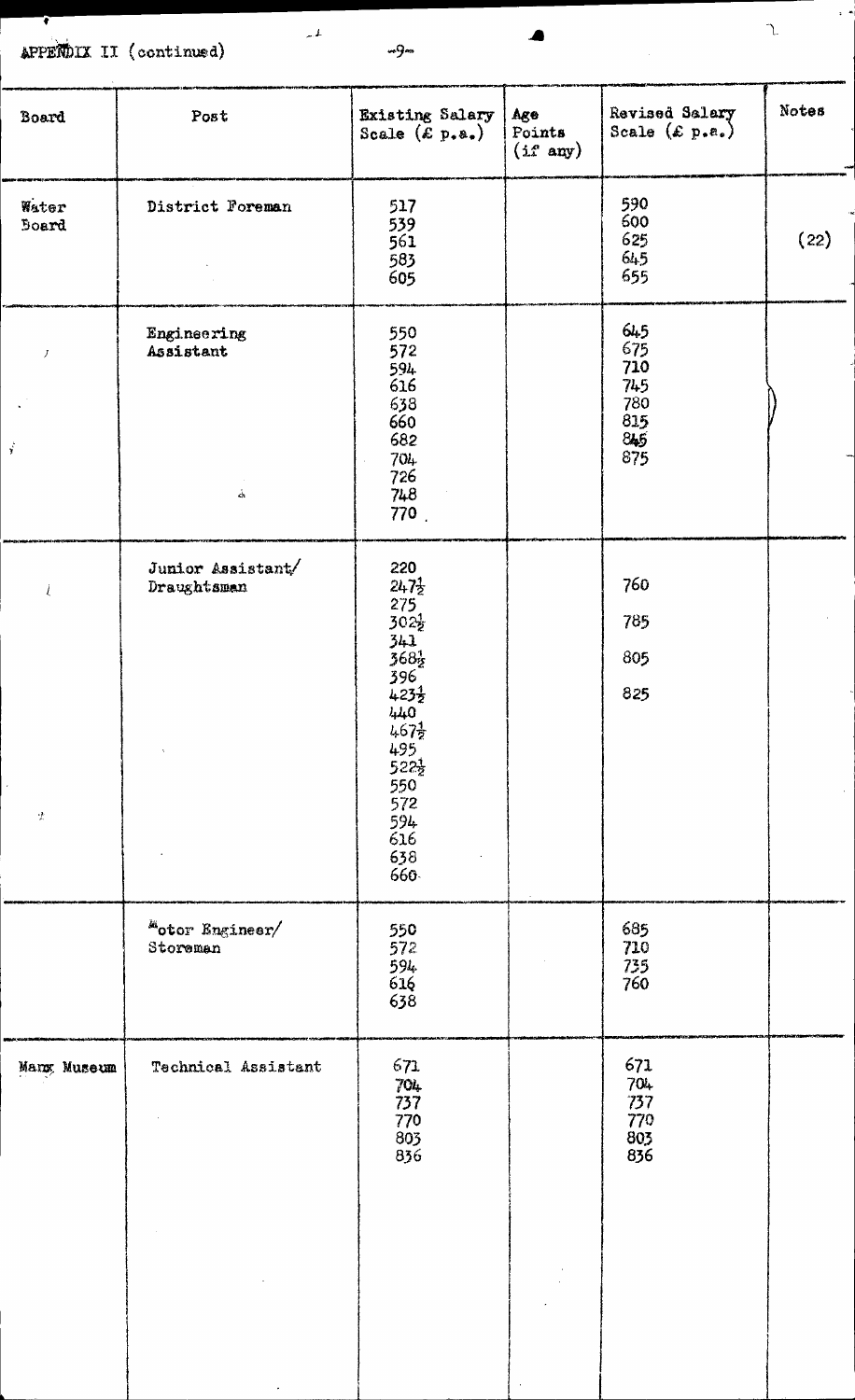APPERDIX II (continued) —9—

1 . 1 .

4

 $\gamma$ 

| Board                         | Post                                       | Existing Salary<br>Scale $(\mathcal{E} p.a.)$                                                                                                                                                          | Age<br>Points<br>$(i \text{ f any})$ | Revised Salary<br>Scale $(\varepsilon p.a.)$                   | Notes |
|-------------------------------|--------------------------------------------|--------------------------------------------------------------------------------------------------------------------------------------------------------------------------------------------------------|--------------------------------------|----------------------------------------------------------------|-------|
| Water<br><b>Board</b>         | District Foreman                           | 517<br>539<br>561<br>583<br>605                                                                                                                                                                        |                                      | 590<br>600<br>625<br>645<br>655                                | (22)  |
| $\boldsymbol{J}$<br>$\vec{r}$ | Engineering<br>Assistant<br>$\dot{\Delta}$ | 550<br>572<br>594<br>616<br>638<br>$660$<br>$682$<br>$704 -$<br>726<br>748<br>770.                                                                                                                     |                                      | $645$<br>$675$<br>710<br>745<br>$780$<br>$815$<br>$845$<br>875 |       |
| Ĺ<br>$\mathcal{L}$            | Junior Assistant/<br>Draughtsman<br>$\tau$ | $220$<br>$247\frac{1}{2}$<br>$275$<br>$302\frac{1}{2}$<br>$341$<br>$368$<br>$396$<br>$423$<br>$4.23$<br>$440$<br>$467\frac{1}{2}$<br>495<br>$522\frac{1}{2}$<br>550<br>572<br>594<br>616<br>638<br>660 |                                      | 760<br>785<br>805<br>825                                       |       |
|                               | "otor Engineer/<br>Storeman                | 550<br>572<br>594<br>616<br>638                                                                                                                                                                        |                                      | 685<br>710<br>735<br>760                                       |       |
| Manx Museum                   | Technical Assistant                        | 671<br>704<br>737<br>770<br>803<br>836                                                                                                                                                                 |                                      | 671<br>704<br>737<br>770<br>803<br>836                         |       |

 $\mathcal{A}$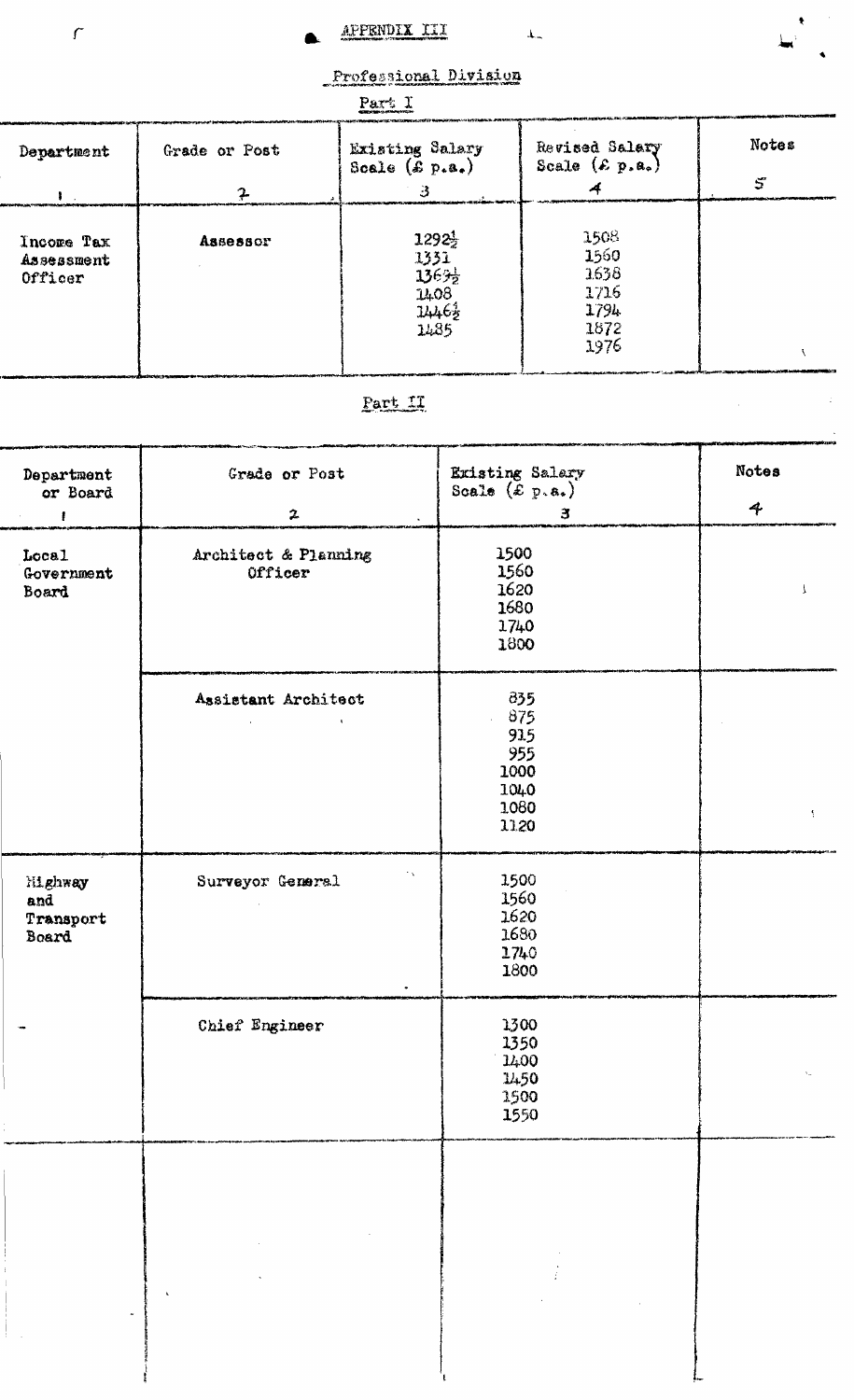APPENDIX III  $\begin{array}{c} \begin{array}{c} \mathbf{1} \end{array} \end{array}$ 

жĖ

 $\mathbb{P}^1$ 

Professional Division

| Part 1                              |               |                                                             |                                                      |                   |  |
|-------------------------------------|---------------|-------------------------------------------------------------|------------------------------------------------------|-------------------|--|
| Department                          | Grade or Post | Existing Salary<br>Scale $(\mathcal{L} p. a_*)$             | Revised Salary<br>Scale $(\mathcal{E}, p, a_*)$      | <b>Notes</b><br>5 |  |
|                                     |               |                                                             |                                                      |                   |  |
| Incore Tax<br>Assessment<br>Officer | Assessor      | $1292\frac{1}{2}$<br>1331<br>1363}<br>1408<br>14463<br>1485 | 1508<br>1560<br>1638<br>1716<br>1794<br>1872<br>1976 |                   |  |

# Part LT,

| Department                           | Grade or Post                                               | Existing Salary<br>Scale (£ p.a.)                                    | Notes        |
|--------------------------------------|-------------------------------------------------------------|----------------------------------------------------------------------|--------------|
| or Board                             |                                                             |                                                                      |              |
| $\mathbf{f}$                         | $\boldsymbol{z}$                                            | $\mathbf{a}$                                                         | 4            |
| Local<br>Government<br>Board         | Architect & Planning<br>Officer                             | 1500<br>1560<br>1620<br>1680<br>1740<br>1800                         | $\mathbf{I}$ |
|                                      | Assistant Architect<br>and the control of<br>$\sim 10^{-1}$ | $\frac{335}{3}$<br>875<br>915<br>955<br>1000<br>1040<br>1080<br>1120 | Ą.           |
| Highway<br>and<br>Transport<br>Board | $\epsilon_{\rm A}$<br>Surveyor General                      | 1500<br>1560<br>1620<br>1680<br>1740<br>1800                         |              |
|                                      | Chief Engineer                                              | 1300<br>1350<br>1400<br>1450<br>1500<br>1550                         |              |
|                                      |                                                             |                                                                      |              |
|                                      |                                                             |                                                                      |              |

 $\bar{f}$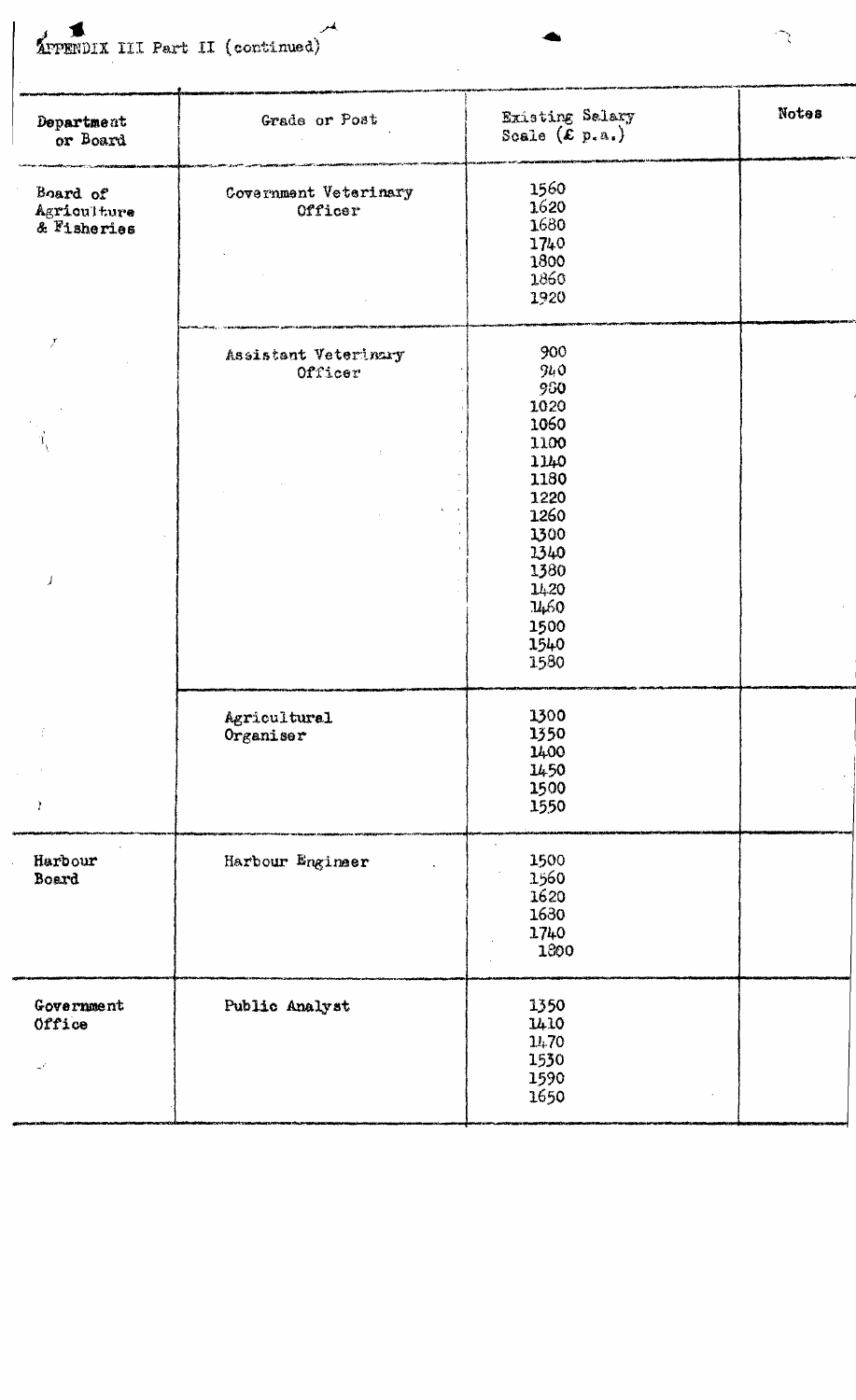APPENDIX III Part II (continued)

 $\overline{\phantom{a}}$ 

| Department<br>or Board                 | Grade or Post                    | Existing Salary<br>Scale $(\tilde{\mathcal{E}} p.a.)$                                                                                     | Notes |
|----------------------------------------|----------------------------------|-------------------------------------------------------------------------------------------------------------------------------------------|-------|
| Board of<br>Agriculture<br>& Fisheries | Covernment Veterinary<br>Officer | 1560<br>1620<br>1680<br>1740<br>1800<br>1860<br>1920                                                                                      |       |
| $\boldsymbol{r}$<br>$\overline{1}$     | Assistant Veterinary<br>Officer  | 900<br>940<br>980<br>1020<br>1060<br>1100<br>1140<br>1180<br>1220<br>1260<br>1300<br>1340<br>1380<br>1420<br>1460<br>1500<br>1540<br>1580 |       |
| ÷<br>Y                                 | Agricultural<br>Organiser        | 1300<br>1350<br>1400<br>1450<br>1500<br>1550                                                                                              |       |
| Harbour<br>Board                       | Harbour Engineer                 | 1500<br>1560<br>1620<br>1630<br>1740<br>1800                                                                                              |       |
| Government<br>Office                   | Public Analyst                   | 1350<br>1410<br>14.70<br>1530<br>1590<br>1650                                                                                             |       |

 $\widehat{\mathcal{L}}$